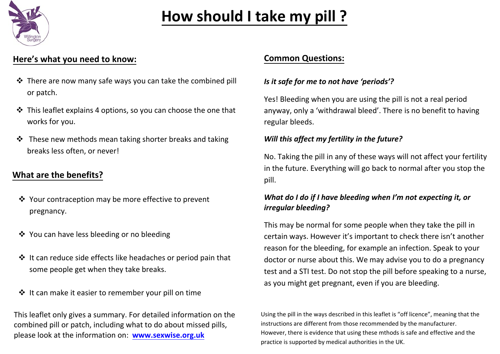

# **How should I take my pill ?**

#### **Here's what you need to know: Common Questions:**

- There are now many safe ways you can take the combined pill or patch.
- This leaflet explains 4 options, so you can choose the one that works for you.
- $\cdot$  These new methods mean taking shorter brea[ks and taking](mailto:kingstondvhub@refuge.org.uk) breaks less often, or never!

### **What are the benefits?**

- Your contraception may be more effective to prevent pregnancy.
- ❖ You can have less bleeding or no bleeding
- It can reduce side effects like headaches or period pain that some people get when they take breaks.
- It can make it easier to remember your pill on time

T[his leaflet only gives](https://www.google.co.uk/imgres?imgurl=https://www.your-life.com/static/images/contraception-methods/intros/contraception-patch.jpg&imgrefurl=https://www.your-life.com/en/contraception-methods/short-acting-contraception/contraceptive-patch/&tbnid=TCNbyQXpNkklSM&vet=10CBUQxiAoBGoXChMIwLmV4-K15wIVAAAAAB0AAAAAEAk..i&docid=I7C1R3QEx90kLM&w=512&h=497&itg=1&q=patch%20evra&hl=en&ved=0CBUQxiAoBGoXChMIwLmV4-K15wIVAAAAAB0AAAAAEAk) a summary. For detailed information on the combined pill or patch, including what to do about missed pills, please look at the information on: **www.sexwise.org.uk** ˭=====tbn0.gstatic.com/images?q=tbn%3AAN

#### *[Is it safe for me](http://www.sexwise.org.uk/) to not have 'periods'?*

Yes! Bleeding when you are using the pill is not a real period anyway, only a 'withdrawal bleed'. There is no benefit to having regular bleeds.

#### *Will this affect my fertility in the future?*

No. Taking the pill in any of these ways will not affect your fertility in the future. Everything will go back to normal after you stop the pill.

#### *What do I do if I have bleeding when I'm not expecting it, or irregular bleeding?*

This may be normal for some people when they take the pill in certain ways. However it's important to check there isn't another reason for the bleeding, for example an infection. Speak to your doctor or nurse about this. We may advise you to do a pregnancy test and a STI test. Do not stop the pill before speaking to a nurse, as you might get pregnant, even if you are bleeding.

Using the pill in the ways described in this leaflet is "off licence", meaning that the instructions are different from those recommended by the manufacturer. However, there is evidence that using these mthods is safe and effective and the practice is supported by medical authorities in the UK.